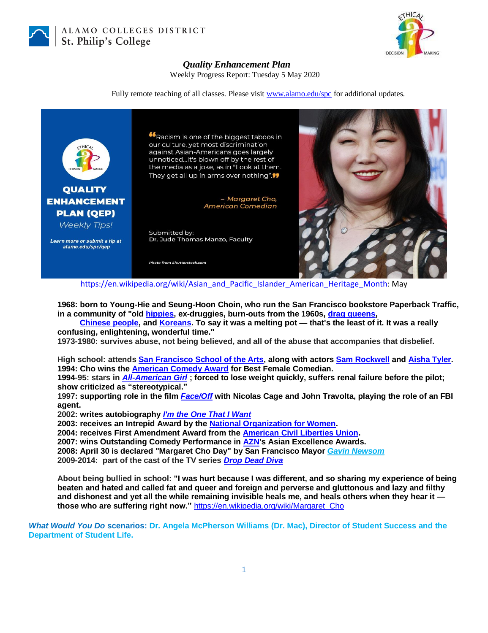

ALAMO COLLEGES DISTRICT St. Philip's College



## *Quality Enhancement Plan*

Weekly Progress Report: Tuesday 5 May 2020

Fully remote teaching of all classes. Please visit [www.alamo.edu/spc](https://mail.alamo.edu/owa/redir.aspx?C=0RYlCqievwdtcsDmAA0Mm2kYSEKf2q5gGF1os6MJA2nvyBDS0szXCA..&URL=http%3a%2f%2fwww.alamo.edu%2fspc) for additional updates.



[https://en.wikipedia.org/wiki/Asian\\_and\\_Pacific\\_Islander\\_American\\_Heritage\\_Month:](https://en.wikipedia.org/wiki/Asian_and_Pacific_Islander_American_Heritage_Month) May

**1968: born to Young-Hie and Seung-Hoon Choin, who run the San Francisco bookstore Paperback Traffic, in a community of "old [hippies,](https://en.wikipedia.org/wiki/Hippy) ex-druggies, burn-outs from the 1960s, [drag queens,](https://en.wikipedia.org/wiki/Drag_queen)**

 **[Chinese people,](https://en.wikipedia.org/wiki/Chinese_American) and [Koreans.](https://en.wikipedia.org/wiki/Korean_American) To say it was a melting pot — that's the least of it. It was a really confusing, enlightening, wonderful time."**

**1973-1980: survives abuse, not being believed, and all of the abuse that accompanies that disbelief.**

**High school: attend[s San Francisco School of the Arts,](https://en.wikipedia.org/wiki/School_of_the_Arts_High_School_(San_Francisco)) along with actor[s Sam Rockwell](https://en.wikipedia.org/wiki/Sam_Rockwell) and [Aisha Tyler.](https://en.wikipedia.org/wiki/Aisha_Tyler) 1994: Cho wins the [American Comedy Award](https://en.wikipedia.org/wiki/American_Comedy_Award) for Best Female Comedian.**

**1994-95: stars in** *[All-American Girl](https://en.wikipedia.org/wiki/All-American_Girl_(TV_series))* **; forced to lose weight quickly, suffers renal failure before the pilot; show criticized as "stereotypical."**

**1997: supporting role in the film** *[Face/Off](https://en.wikipedia.org/wiki/Face/Off)* **with Nicolas Cage and John Travolta, playing the role of an FBI agent.**

**2002: writes autobiography** *[I'm the One That I Want](https://en.wikipedia.org/wiki/I%27m_the_One_That_I_Want)*

**2003: receives an Intrepid Award by the [National Organization for Women.](https://en.wikipedia.org/wiki/National_Organization_for_Women)**

**2004: receives First Amendment Award from the [American Civil Liberties Union.](https://en.wikipedia.org/wiki/American_Civil_Liberties_Union)**

**2007: wins Outstanding Comedy Performance in [AZN's](https://en.wikipedia.org/wiki/AZN_Television) Asian Excellence Awards.**

**2008: April 30 is declared "Margaret Cho Day" by San Francisco Mayor** *[Gavin Newsom](https://en.wikipedia.org/wiki/Gavin_Newsom)*

**2009-2014: part of the cast of the TV series** *[Drop Dead Diva](https://en.wikipedia.org/wiki/Drop_Dead_Diva)*

**About being bullied in school: "I was hurt because I was different, and so sharing my experience of being beaten and hated and called fat and queer and foreign and perverse and gluttonous and lazy and filthy and dishonest and yet all the while remaining invisible heals me, and heals others when they hear it those who are suffering right now."** [https://en.wikipedia.org/wiki/Margaret\\_Cho](https://en.wikipedia.org/wiki/Margaret_Cho)

*What Would You Do* **scenarios: Dr. Angela McPherson Williams (Dr. Mac), Director of Student Success and the Department of Student Life.**